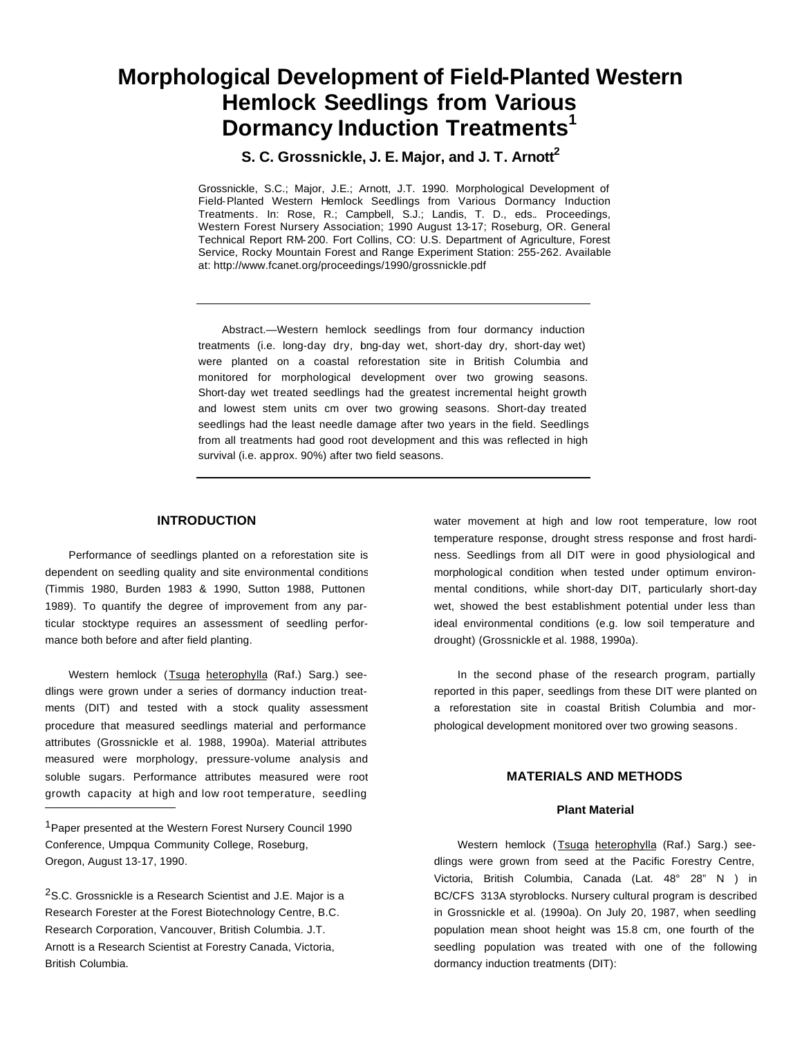# **Morphological Development of Field-Planted Western Hemlock Seedlings from Various Dormancy Induction Treatments<sup>1</sup>**

**S. C. Grossnickle, J. E. Major, and J. T. Arnott<sup>2</sup>**

Grossnickle, S.C.; Major, J.E.; Arnott, J.T. 1990. Morphological Development of Field-Planted Western Hemlock Seedlings from Various Dormancy Induction Treatments. In: Rose, R.; Campbell, S.J.; Landis, T. D., eds.. Proceedings, Western Forest Nursery Association; 1990 August 13-17; Roseburg, OR. General Technical Report RM-200. Fort Collins, CO: U.S. Department of Agriculture, Forest Service, Rocky Mountain Forest and Range Experiment Station: 255-262. Available at: http://www.fcanet.org/proceedings/1990/grossnickle.pdf

Abstract.—Western hemlock seedlings from four dormancy induction treatments (i.e. long-day dry, bng-day wet, short-day dry, short-day wet) were planted on a coastal reforestation site in British Columbia and monitored for morphological development over two growing seasons. Short-day wet treated seedlings had the greatest incremental height growth and lowest stem units cm over two growing seasons. Short-day treated seedlings had the least needle damage after two years in the field. Seedlings from all treatments had good root development and this was reflected in high survival (i.e. approx. 90%) after two field seasons.

# **INTRODUCTION**

Performance of seedlings planted on a reforestation site is dependent on seedling quality and site environmental conditions (Timmis 1980, Burden 1983 & 1990, Sutton 1988, Puttonen 1989). To quantify the degree of improvement from any particular stocktype requires an assessment of seedling performance both before and after field planting.

Western hemlock (Tsuga heterophylla (Raf.) Sarg.) seedlings were grown under a series of dormancy induction treatments (DIT) and tested with a stock quality assessment procedure that measured seedlings material and performance attributes (Grossnickle et al. 1988, 1990a). Material attributes measured were morphology, pressure-volume analysis and soluble sugars. Performance attributes measured were root growth capacity at high and low root temperature, seedling water movement at high and low root temperature, low root temperature response, drought stress response and frost hardiness. Seedlings from all DIT were in good physiological and morphological condition when tested under optimum environmental conditions, while short-day DIT, particularly short-day wet, showed the best establishment potential under less than ideal environmental conditions (e.g. low soil temperature and drought) (Grossnickle et al. 1988, 1990a).

In the second phase of the research program, partially reported in this paper, seedlings from these DIT were planted on a reforestation site in coastal British Columbia and morphological development monitored over two growing seasons.

## **MATERIALS AND METHODS**

#### **Plant Material**

Western hemlock (Tsuga heterophylla (Raf.) Sarg.) seedlings were grown from seed at the Pacific Forestry Centre, Victoria, British Columbia, Canada (Lat. 48° 28" N ) in BC/CFS 313A styroblocks. Nursery cultural program is described in Grossnickle et al. (1990a). On July 20, 1987, when seedling population mean shoot height was 15.8 cm, one fourth of the seedling population was treated with one of the following dormancy induction treatments (DIT):

<sup>&</sup>lt;sup>1</sup> Paper presented at the Western Forest Nursery Council 1990 Conference, Umpqua Community College, Roseburg, Oregon, August 13-17, 1990.

<sup>&</sup>lt;sup>2</sup>S.C. Grossnickle is a Research Scientist and J.E. Major is a Research Forester at the Forest Biotechnology Centre, B.C. Research Corporation, Vancouver, British Columbia. J.T. Arnott is a Research Scientist at Forestry Canada, Victoria, British Columbia.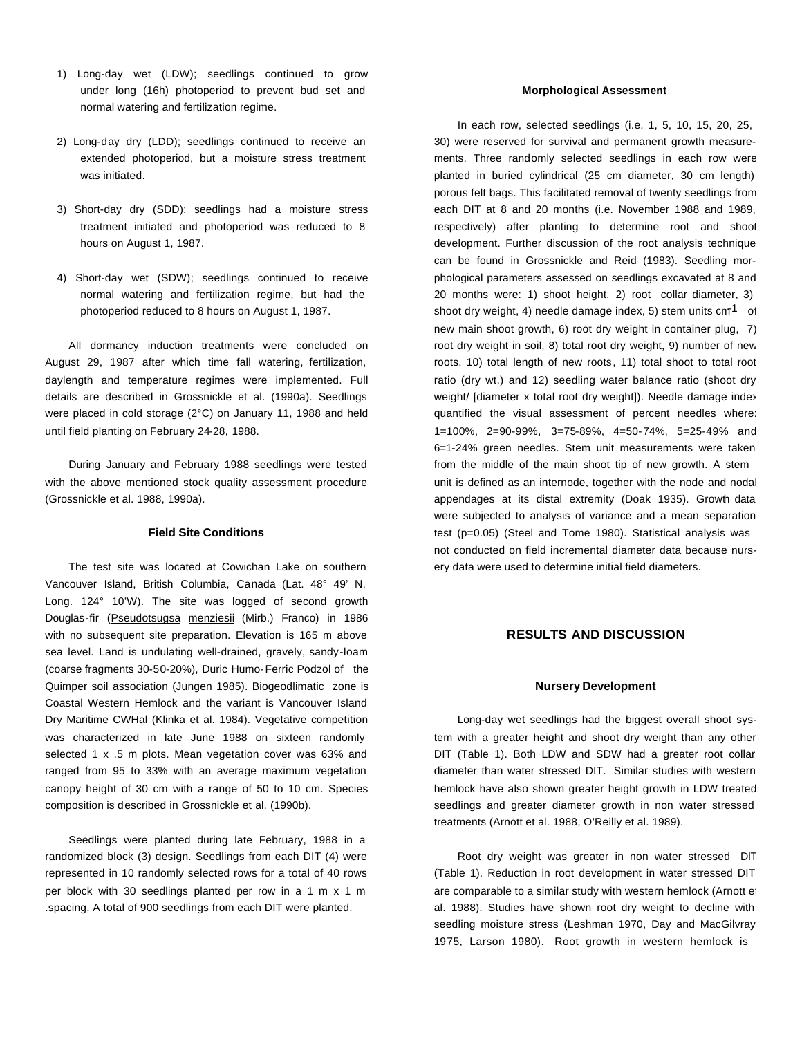- 1) Long-day wet (LDW); seedlings continued to grow under long (16h) photoperiod to prevent bud set and normal watering and fertilization regime.
- 2) Long-day dry (LDD); seedlings continued to receive an extended photoperiod, but a moisture stress treatment was initiated.
- 3) Short-day dry (SDD); seedlings had a moisture stress treatment initiated and photoperiod was reduced to 8 hours on August 1, 1987.
- 4) Short-day wet (SDW); seedlings continued to receive normal watering and fertilization regime, but had the photoperiod reduced to 8 hours on August 1, 1987.

All dormancy induction treatments were concluded on August 29, 1987 after which time fall watering, fertilization, daylength and temperature regimes were implemented. Full details are described in Grossnickle et al. (1990a). Seedlings were placed in cold storage (2°C) on January 11, 1988 and held until field planting on February 24-28, 1988.

During January and February 1988 seedlings were tested with the above mentioned stock quality assessment procedure (Grossnickle et al. 1988, 1990a).

## **Field Site Conditions**

The test site was located at Cowichan Lake on southern Vancouver Island, British Columbia, Canada (Lat. 48° 49' N, Long. 124° 10'W). The site was logged of second growth Douglas-fir (Pseudotsugsa menziesii (Mirb.) Franco) in 1986 with no subsequent site preparation. Elevation is 165 m above sea level. Land is undulating well-drained, gravely, sandy-loam (coarse fragments 30-50-20%), Duric Humo-Ferric Podzol of the Quimper soil association (Jungen 1985). Biogeodlimatic zone is Coastal Western Hemlock and the variant is Vancouver Island Dry Maritime CWHal (Klinka et al. 1984). Vegetative competition was characterized in late June 1988 on sixteen randomly selected 1 x .5 m plots. Mean vegetation cover was 63% and ranged from 95 to 33% with an average maximum vegetation canopy height of 30 cm with a range of 50 to 10 cm. Species composition is described in Grossnickle et al. (1990b).

Seedlings were planted during late February, 1988 in a randomized block (3) design. Seedlings from each DIT (4) were represented in 10 randomly selected rows for a total of 40 rows per block with 30 seedlings planted per row in a 1 m x 1 m .spacing. A total of 900 seedlings from each DIT were planted.

#### **Morphological Assessment**

In each row, selected seedlings (i.e. 1, 5, 10, 15, 20, 25, 30) were reserved for survival and permanent growth measurements. Three randomly selected seedlings in each row were planted in buried cylindrical (25 cm diameter, 30 cm length) porous felt bags. This facilitated removal of twenty seedlings from each DIT at 8 and 20 months (i.e. November 1988 and 1989, respectively) after planting to determine root and shoot development. Further discussion of the root analysis technique can be found in Grossnickle and Reid (1983). Seedling morphological parameters assessed on seedlings excavated at 8 and 20 months were: 1) shoot height, 2) root collar diameter, 3) shoot dry weight, 4) needle damage index, 5) stem units  $cm<sup>1</sup>$  of new main shoot growth, 6) root dry weight in container plug, 7) root dry weight in soil, 8) total root dry weight, 9) number of new roots, 10) total length of new roots, 11) total shoot to total root ratio (dry wt.) and 12) seedling water balance ratio (shoot dry weight/ [diameter x total root dry weight]). Needle damage index quantified the visual assessment of percent needles where: 1=100%, 2=90-99%, 3=75-89%, 4=50-74%, 5=25-49% and 6=1-24% green needles. Stem unit measurements were taken from the middle of the main shoot tip of new growth. A stem unit is defined as an internode, together with the node and nodal appendages at its distal extremity (Doak 1935). Growth data were subjected to analysis of variance and a mean separation test (p=0.05) (Steel and Tome 1980). Statistical analysis was not conducted on field incremental diameter data because nursery data were used to determine initial field diameters.

# **RESULTS AND DISCUSSION**

#### **Nursery Development**

Long-day wet seedlings had the biggest overall shoot system with a greater height and shoot dry weight than any other DIT (Table 1). Both LDW and SDW had a greater root collar diameter than water stressed DIT. Similar studies with western hemlock have also shown greater height growth in LDW treated seedlings and greater diameter growth in non water stressed treatments (Arnott et al. 1988, O'Reilly et al. 1989).

Root dry weight was greater in non water stressed DlT (Table 1). Reduction in root development in water stressed DIT are comparable to a similar study with western hemlock (Arnott et al. 1988). Studies have shown root dry weight to decline with seedling moisture stress (Leshman 1970, Day and MacGilvray 1975, Larson 1980). Root growth in western hemlock is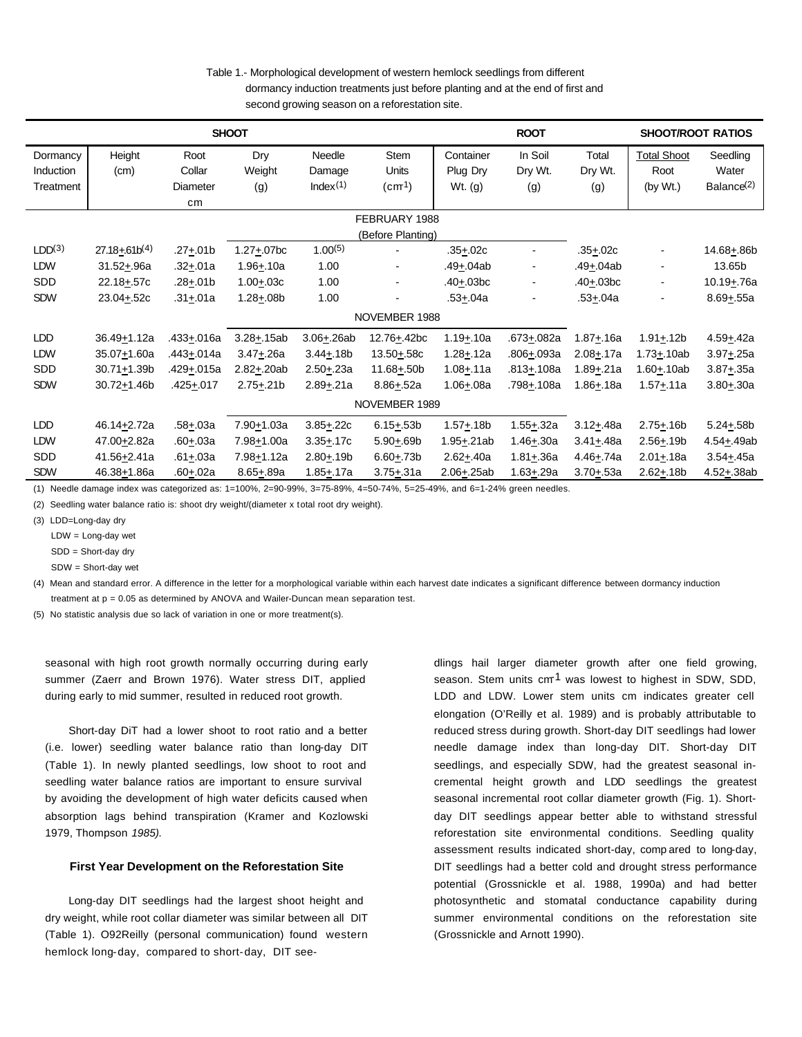Table 1.- Morphological development of western hemlock seedlings from different dormancy induction treatments just before planting and at the end of first and second growing season on a reforestation site.

| <b>SHOOT</b>       |                          |                   |                            |                        |                                        | <b>ROOT</b>   |                         |                        | <b>SHOOT/ROOT RATIOS</b> |                         |
|--------------------|--------------------------|-------------------|----------------------------|------------------------|----------------------------------------|---------------|-------------------------|------------------------|--------------------------|-------------------------|
| Dormancy           | Height                   | Root              | Dry                        | Needle                 | Stem                                   | Container     | In Soil                 | Total                  | <b>Total Shoot</b>       | Seedling                |
| Induction          | (cm)                     | Collar            | Weight                     | Damage                 | <b>Units</b>                           | Plug Dry      | Dry Wt.                 | Dry Wt.                | Root                     | Water                   |
| Treatment          |                          | Diameter          | (g)                        | Index(1)               | $\left(\text{cm}^{\frac{1}{2}}\right)$ | Wt. (g)       | (g)                     | (g)                    | (by Wt.)                 | Balance <sup>(2)</sup>  |
|                    |                          | cm                |                            |                        |                                        |               |                         |                        |                          |                         |
| FEBRUARY 1988      |                          |                   |                            |                        |                                        |               |                         |                        |                          |                         |
|                    | (Before Planting)        |                   |                            |                        |                                        |               |                         |                        |                          |                         |
| LDD <sup>(3)</sup> | $27.18 + 61b^{(4)}$      | $.27 + .01b$      | $1.27 + .07$ <sub>bc</sub> | $1.00^{(5)}$           |                                        | $.35 + .02c$  |                         | $.35 + .02c$           |                          | 14.68+86b               |
| LDW                | $31.52 + .96a$           | .32 <u>+</u> .01a | $1.96 + 10a$               | 1.00                   |                                        | .49+.04ab     |                         | .49+.04ab              | $\blacksquare$           | 13.65b                  |
| <b>SDD</b>         | $22.18 + .57c$           | .28 <u>+</u> .01b | $1.00 + .03c$              | 1.00                   |                                        | $.40 + .03bc$ | ۰                       | $.40 + .03bc$          | $\blacksquare$           | 10.19 <sup>+</sup> .76a |
| <b>SDW</b>         | 23.04+.52c               | .31 <u>+</u> .01a | $1.28 + .08b$              | 1.00                   |                                        | $.53 + .04a$  |                         | .53+.04a               |                          | $8.69 + .55a$           |
| NOVEMBER 1988      |                          |                   |                            |                        |                                        |               |                         |                        |                          |                         |
| <b>LDD</b>         | 36.49+1.12a              | .433+.016a        | $3.28 + .15ab$             | $3.06 + .26ab$         | 12.76+.42bc                            | $1.19 + 10a$  | .673 <sup>+</sup> .082a | $1.87 + .16a$          | $1.91 + .12b$            | 4.59 <sup>+</sup> .42a  |
| <b>LDW</b>         | 35.07+1.60a              | .443+.014a        | $3.47 + .26a$              | $3.44 + .18b$          | 13.50+.58c                             | $1.28 + 12a$  | .806+.093a              | $2.08 + 17a$           | $1.73 + 10ab$            | $3.97 + .25a$           |
| <b>SDD</b>         | 30.71+1.39b              | .429+.015a        | $2.82 + .20ab$             | $2.50 + 23a$           | $11.68 + .50b$                         | $1.08 + 11a$  | .813+.108a              | $1.89 + .21a$          | $1.60 + .10ab$           | 3.87 <sup>+</sup> .35a  |
| <b>SDW</b>         | 30.72+1.46b              | .425+.017         | $2.75 + .21b$              | $2.89 + .21a$          | $8.86 + .52a$                          | $1.06 + .08a$ | .798+.108a              | 1.86 <sup>+</sup> .18a | $1.57 + 11a$             | $3.80 + .30a$           |
| NOVEMBER 1989      |                          |                   |                            |                        |                                        |               |                         |                        |                          |                         |
| <b>LDD</b>         | 46.14+2.72a              | $.58 + .03a$      | 7.90+1.03a                 | $3.85 + .22c$          | $6.15 + .53b$                          | $1.57 + .18b$ | $1.55 + .32a$           | $3.12 + .48a$          | $2.75 + .16b$            | 5.24 $\pm$ .58b         |
| <b>LDW</b>         | 47.00+2.82a              | $.60 + .03a$      | 7.98+1.00a                 | $3.35 + .17c$          | $5.90 + 69b$                           | 1.95+.21ab    | $1.46 + .30a$           | $3.41 + .48a$          | $2.56 + 19b$             | 4.54 <sup>+</sup> .49ab |
| <b>SDD</b>         | 41.56+2.41a              | $.61 + .03a$      | 7.98+1.12a                 | $2.80 + .19b$          | $6.60 + .73b$                          | $2.62 + .40a$ | $1.81 + .36a$           | $4.46 + 74a$           | $2.01 + .18a$            | 3.54 <sup>+</sup> .45a  |
| <b>SDW</b>         | 46.38 <sup>+</sup> 1.86a | .60+.02a          | $8.65 + .89a$              | 1.85 <sup>+</sup> .17a | 3.75 <u>+</u> .31a                     | 2.06+.25ab    | 1.63 <sup>+</sup> .29a  | $3.70 + .53a$          | $2.62 + .18b$            | $4.52 + .38ab$          |

(1) Needle damage index was categorized as: 1=100%, 2=90-99%, 3=75-89%, 4=50-74%, 5=25-49%, and 6=1-24% green needles.

(2) Seedling water balance ratio is: shoot dry weight/(diameter x total root dry weight).

(3) LDD=Long-day dry

LDW = Long-day wet

SDD = Short-day dry

SDW = Short-day wet

(4) Mean and standard error. A difference in the letter for a morphological variable within each harvest date indicates a significant difference between dormancy induction treatment at  $p = 0.05$  as determined by ANOVA and Wailer-Duncan mean separation test.

(5) No statistic analysis due so lack of variation in one or more treatment(s).

seasonal with high root growth normally occurring during early summer (Zaerr and Brown 1976). Water stress DIT, applied during early to mid summer, resulted in reduced root growth.

Short-day DiT had a lower shoot to root ratio and a better (i.e. lower) seedling water balance ratio than long-day DIT (Table 1). In newly planted seedlings, low shoot to root and seedling water balance ratios are important to ensure survival by avoiding the development of high water deficits caused when absorption lags behind transpiration (Kramer and Kozlowski 1979, Thompson *1985).*

#### **First Year Development on the Reforestation Site**

Long-day DIT seedlings had the largest shoot height and dry weight, while root collar diameter was similar between all DIT (Table 1). O92Reilly (personal communication) found western hemlock long-day, compared to short-day, DIT seedlings hail larger diameter growth after one field growing, season. Stem units  $cm<sup>1</sup>$  was lowest to highest in SDW, SDD, LDD and LDW. Lower stem units cm indicates greater cell elongation (O'Reilly et al. 1989) and is probably attributable to reduced stress during growth. Short-day DIT seedlings had lower needle damage index than long-day DIT. Short-day DIT seedlings, and especially SDW, had the greatest seasonal incremental height growth and LDD seedlings the greatest seasonal incremental root collar diameter growth (Fig. 1). Shortday DIT seedlings appear better able to withstand stressful reforestation site environmental conditions. Seedling quality assessment results indicated short-day, comp ared to long-day, DIT seedlings had a better cold and drought stress performance potential (Grossnickle et al. 1988, 1990a) and had better photosynthetic and stomatal conductance capability during summer environmental conditions on the reforestation site (Grossnickle and Arnott 1990).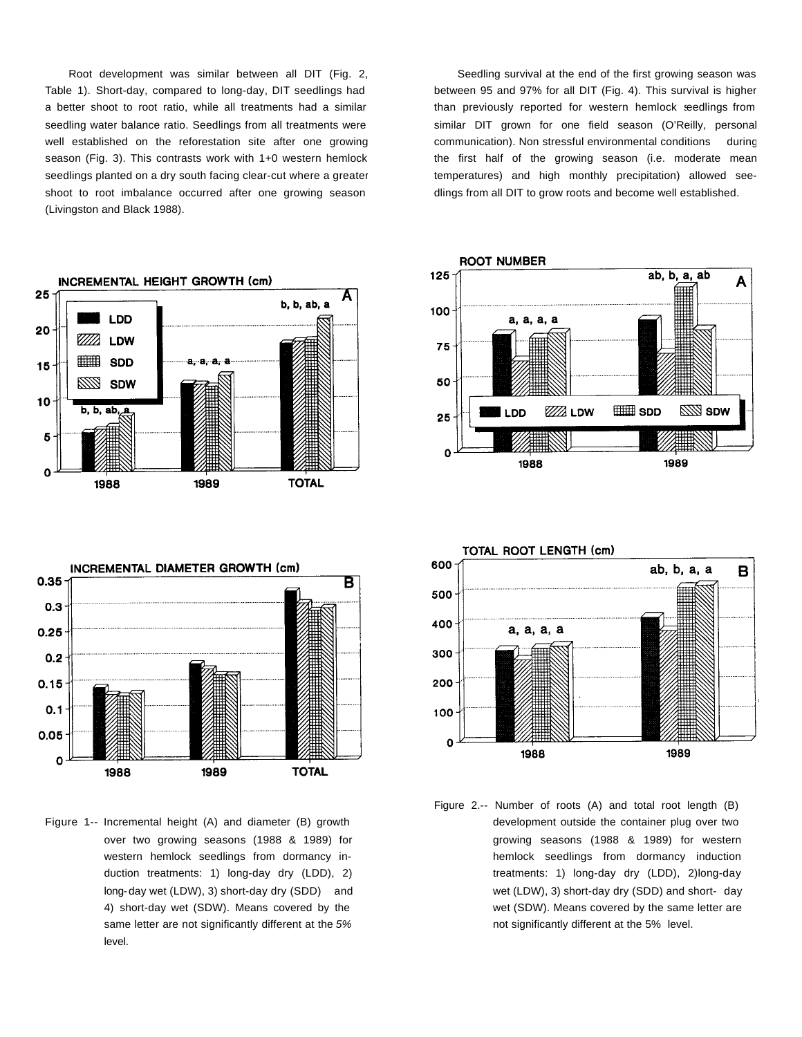Root development was similar between all DIT (Fig. 2, Table 1). Short-day, compared to long-day, DIT seedlings had a better shoot to root ratio, while all treatments had a similar seedling water balance ratio. Seedlings from all treatments were well established on the reforestation site after one growing season (Fig. 3). This contrasts work with 1+0 western hemlock seedlings planted on a dry south facing clear-cut where a greater shoot to root imbalance occurred after one growing season (Livingston and Black 1988).





Figure 1.-- Incremental height (A) and diameter (B) growth over two growing seasons (1988 & 1989) for western hemlock seedlings from dormancy induction treatments: 1) long-day dry (LDD), 2) long-day wet (LDW), 3) short-day dry (SDD) and 4) short-day wet (SDW). Means covered by the same letter are not significantly different at the *5%* level.

Seedling survival at the end of the first growing season was between 95 and 97% for all DIT (Fig. 4). This survival is higher than previously reported for western hemlock seedlings from similar DIT grown for one field season (O'Reilly, personal communication). Non stressful environmental conditions during the first half of the growing season (i.e. moderate mean temperatures) and high monthly precipitation) allowed seedlings from all DIT to grow roots and become well established.





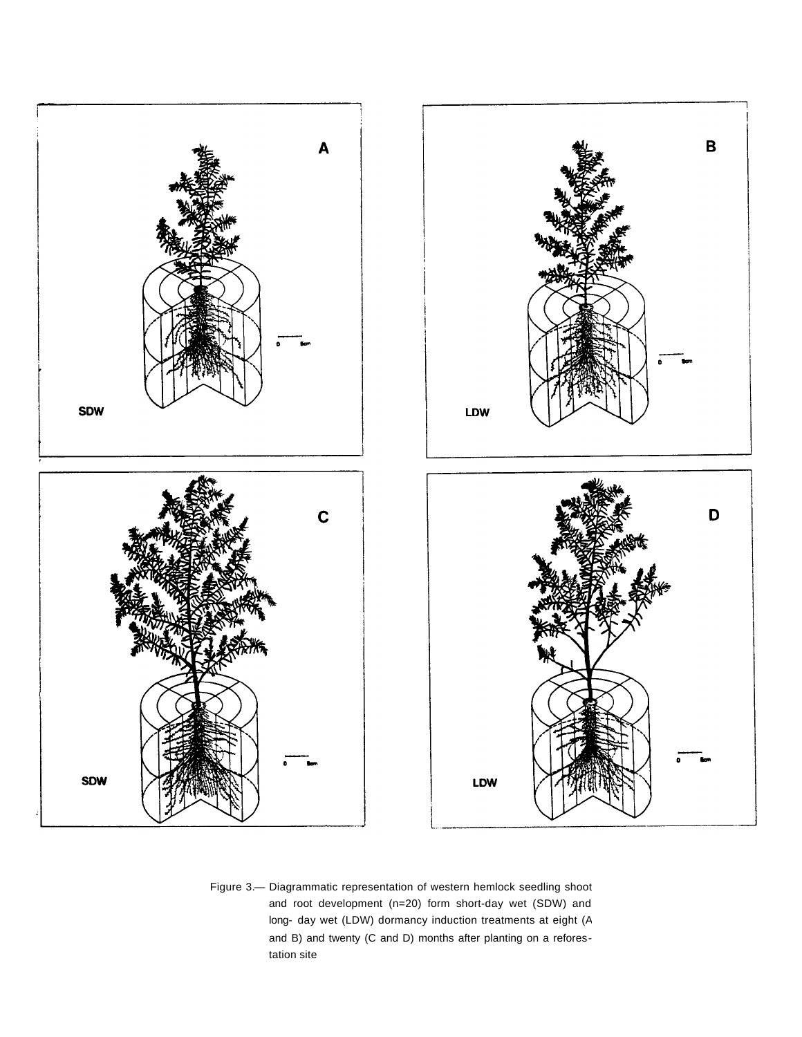

Figure 3.— Diagrammatic representation of western hemlock seedling shoot and root development (n=20) form short-day wet (SDW) and long- day wet (LDW) dormancy induction treatments at eight (A and B) and twenty (C and D) months after planting on a reforestation site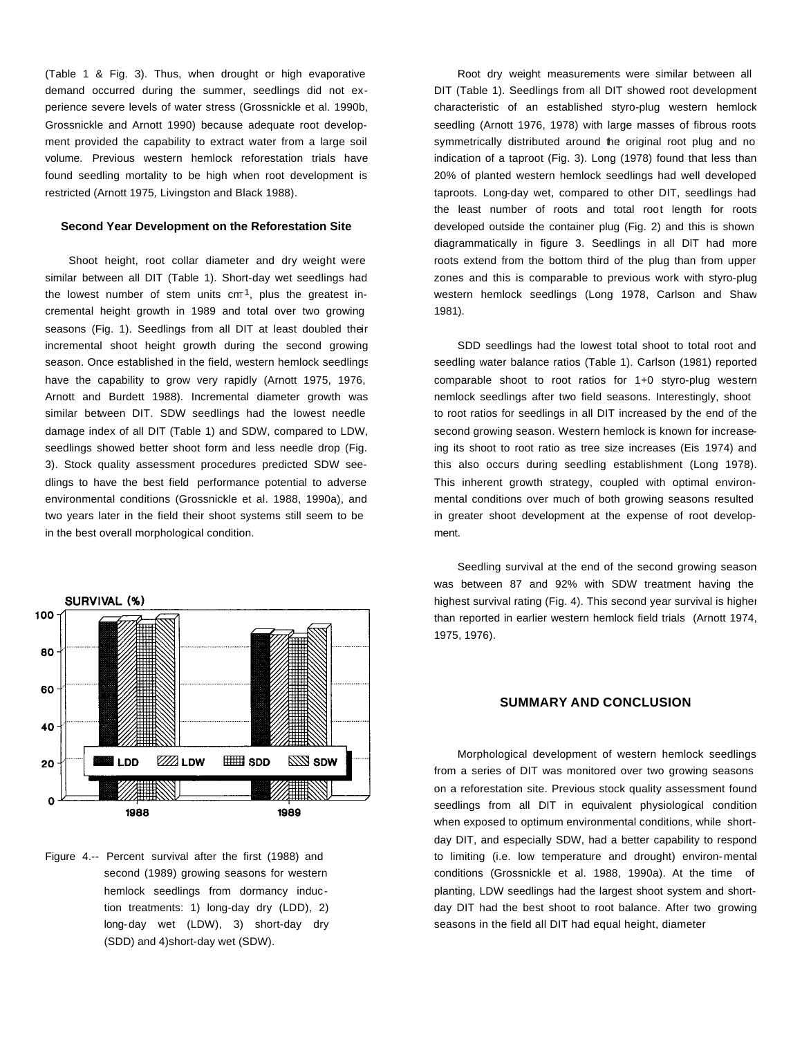(Table 1 & Fig. 3). Thus, when drought or high evaporative demand occurred during the summer, seedlings did not experience severe levels of water stress (Grossnickle et al. 1990b, Grossnickle and Arnott 1990) because adequate root development provided the capability to extract water from a large soil volume. Previous western hemlock reforestation trials have found seedling mortality to be high when root development is restricted (Arnott 1975*,* Livingston and Black 1988).

#### **Second Year Development on the Reforestation Site**

Shoot height, root collar diameter and dry weight were similar between all DIT (Table 1). Short-day wet seedlings had the lowest number of stem units  $\text{cm}^{-1}$ , plus the greatest incremental height growth in 1989 and total over two growing seasons (Fig. 1). Seedlings from all DIT at least doubled their incremental shoot height growth during the second growing season. Once established in the field, western hemlock seedlings have the capability to grow very rapidly (Arnott 1975, 1976, Arnott and Burdett 1988). Incremental diameter growth was similar between DIT. SDW seedlings had the lowest needle damage index of all DIT (Table 1) and SDW, compared to LDW, seedlings showed better shoot form and less needle drop (Fig. 3). Stock quality assessment procedures predicted SDW seedlings to have the best field performance potential to adverse environmental conditions (Grossnickle et al. 1988, 1990a), and two years later in the field their shoot systems still seem to be in the best overall morphological condition.





Root dry weight measurements were similar between all DIT (Table 1). Seedlings from all DIT showed root development characteristic of an established styro-plug western hemlock seedling (Arnott 1976, 1978) with large masses of fibrous roots symmetrically distributed around the original root plug and no indication of a taproot (Fig. 3). Long (1978) found that less than 20% of planted western hemlock seedlings had well developed taproots. Long-day wet, compared to other DIT, seedlings had the least number of roots and total root length for roots developed outside the container plug (Fig. 2) and this is shown diagrammatically in figure 3. Seedlings in all DlT had more roots extend from the bottom third of the plug than from upper zones and this is comparable to previous work with styro-plug western hemlock seedlings (Long 1978, Carlson and Shaw 1981).

SDD seedlings had the lowest total shoot to total root and seedling water balance ratios (Table 1). Carlson (1981) reported comparable shoot to root ratios for 1+0 styro-plug western nemlock seedlings after two field seasons. Interestingly, shoot to root ratios for seedlings in all DIT increased by the end of the second growing season. Western hemlock is known for increaseing its shoot to root ratio as tree size increases (Eis 1974) and this also occurs during seedling establishment (Long 1978). This inherent growth strategy, coupled with optimal environmental conditions over much of both growing seasons resulted in greater shoot development at the expense of root development.

Seedling survival at the end of the second growing season was between 87 and 92% with SDW treatment having the highest survival rating (Fig. 4). This second year survival is higher than reported in earlier western hemlock field trials (Arnott 1974, 1975, 1976).

# **SUMMARY AND CONCLUSION**

Morphological development of western hemlock seedlings from a series of DIT was monitored over two growing seasons on a reforestation site. Previous stock quality assessment found seedlings from all DIT in equivalent physiological condition when exposed to optimum environmental conditions, while shortday DIT, and especially SDW, had a better capability to respond to limiting (i.e. low temperature and drought) environ-mental conditions (Grossnickle et al. 1988, 1990a). At the time of planting, LDW seedlings had the largest shoot system and shortday DIT had the best shoot to root balance. After two growing seasons in the field all DIT had equal height, diameter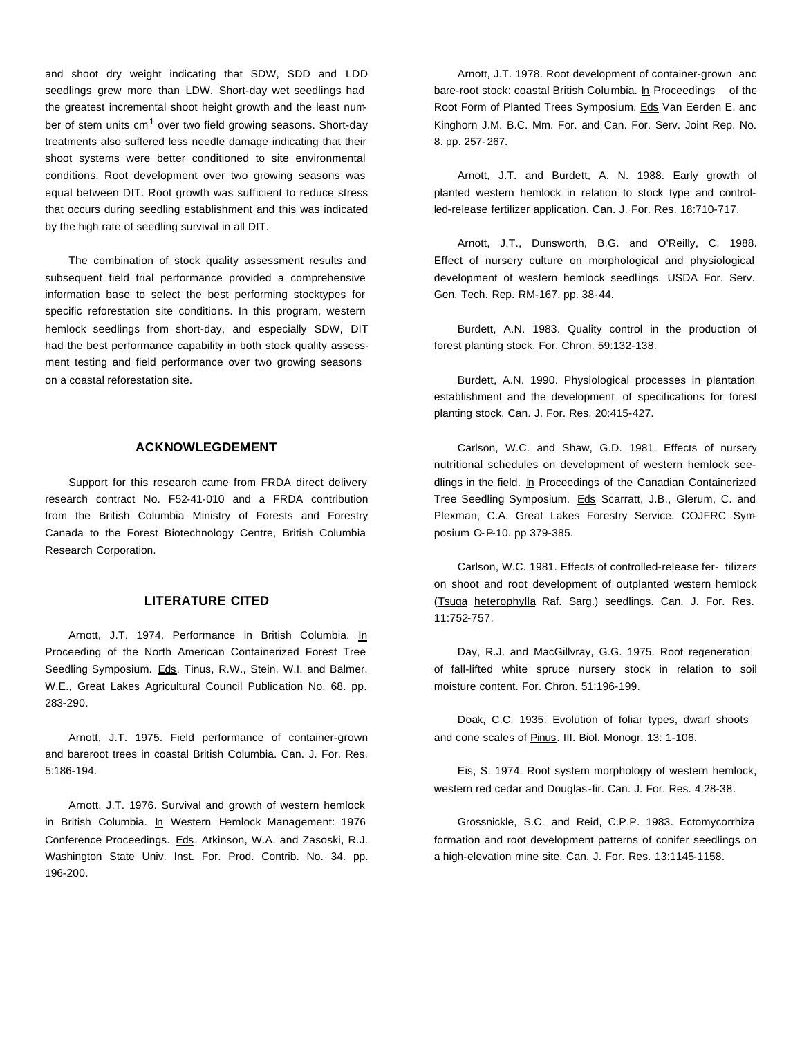and shoot dry weight indicating that SDW, SDD and LDD seedlings grew more than LDW. Short-day wet seedlings had the greatest incremental shoot height growth and the least number of stem units cm<sup>1</sup> over two field growing seasons. Short-day treatments also suffered less needle damage indicating that their shoot systems were better conditioned to site environmental conditions. Root development over two growing seasons was equal between DIT. Root growth was sufficient to reduce stress that occurs during seedling establishment and this was indicated by the high rate of seedling survival in all DIT.

The combination of stock quality assessment results and subsequent field trial performance provided a comprehensive information base to select the best performing stocktypes for specific reforestation site conditions. In this program, western hemlock seedlings from short-day, and especially SDW, DIT had the best performance capability in both stock quality assessment testing and field performance over two growing seasons on a coastal reforestation site.

## **ACKNOWLEGDEMENT**

Support for this research came from FRDA direct delivery research contract No. F52-41-010 and a FRDA contribution from the British Columbia Ministry of Forests and Forestry Canada to the Forest Biotechnology Centre, British Columbia Research Corporation.

## **LITERATURE CITED**

Arnott, J.T. 1974. Performance in British Columbia. In Proceeding of the North American Containerized Forest Tree Seedling Symposium. Eds. Tinus, R.W., Stein, W.I. and Balmer, W.E., Great Lakes Agricultural Council Publication No. 68. pp. 283-290.

Arnott, J.T. 1975. Field performance of container-grown and bareroot trees in coastal British Columbia. Can. J. For. Res. 5:186-194.

Arnott, J.T. 1976. Survival and growth of western hemlock in British Columbia. In Western Hemlock Management: 1976 Conference Proceedings. Eds. Atkinson, W.A. and Zasoski, R.J. Washington State Univ. Inst. For. Prod. Contrib. No. 34. pp. 196-200.

Arnott, J.T. 1978. Root development of container-grown and bare-root stock: coastal British Columbia. In Proceedings of the Root Form of Planted Trees Symposium. Eds Van Eerden E. and Kinghorn J.M. B.C. Mm. For. and Can. For. Serv. Joint Rep. No. 8. pp. 257-267.

Arnott, J.T. and Burdett, A. N. 1988. Early growth of planted western hemlock in relation to stock type and controlled-release fertilizer application. Can. J. For. Res. 18:710-717.

Arnott, J.T., Dunsworth, B.G. and O'Reilly, C. 1988. Effect of nursery culture on morphological and physiological development of western hemlock seedlings. USDA For. Serv. Gen. Tech. Rep. RM-167. pp. 38-44.

Burdett, A.N. 1983. Quality control in the production of forest planting stock. For. Chron. 59:132-138.

Burdett, A.N. 1990. Physiological processes in plantation establishment and the development of specifications for forest planting stock. Can. J. For. Res. 20:415-427.

Carlson, W.C. and Shaw, G.D. 1981. Effects of nursery nutritional schedules on development of western hemlock seedlings in the field. In Proceedings of the Canadian Containerized Tree Seedling Symposium. Eds Scarratt, J.B., Glerum, C. and Plexman, C.A. Great Lakes Forestry Service. COJFRC Symposium O-P-10. pp 379-385.

Carlson, W.C. 1981. Effects of controlled-release fer- tilizers on shoot and root development of outplanted western hemlock (Tsuga heterophylla Raf. Sarg.) seedlings. Can. J. For. Res. 11:752-757.

Day, R.J. and MacGillvray, G.G. 1975. Root regeneration of fall-lifted white spruce nursery stock in relation to soil moisture content. For. Chron. 51:196-199.

Doak, C.C. 1935. Evolution of foliar types, dwarf shoots and cone scales of Pinus. III. Biol. Monogr. 13: 1-106.

Eis, S. 1974. Root system morphology of western hemlock, western red cedar and Douglas-fir. Can. J. For. Res. 4:28-38.

Grossnickle, S.C. and Reid, C.P.P. 1983. Ectomycorrhiza formation and root development patterns of conifer seedlings on a high-elevation mine site. Can. J. For. Res. 13:1145-1158.